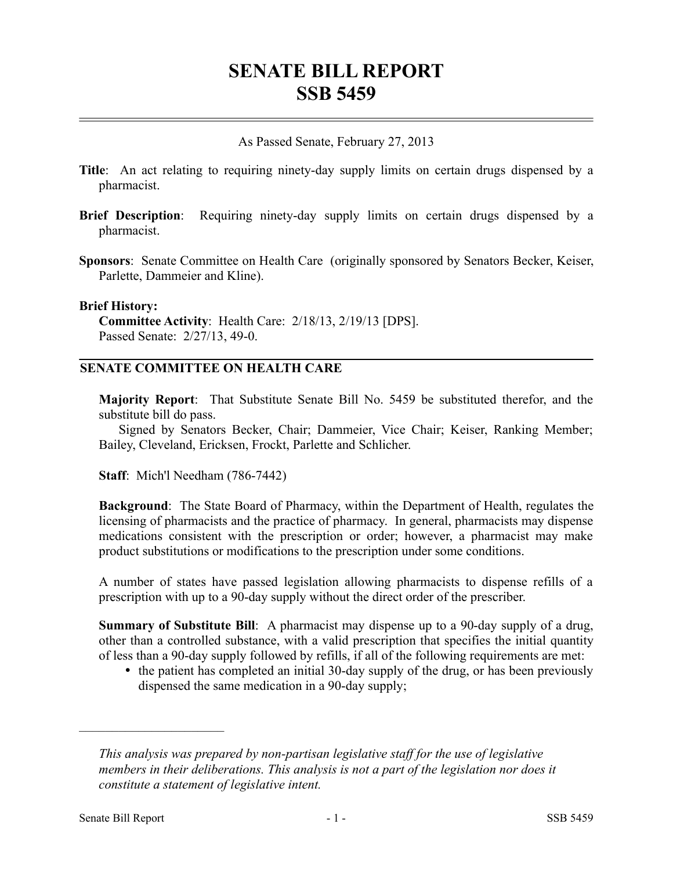# **SENATE BILL REPORT SSB 5459**

As Passed Senate, February 27, 2013

- **Title**: An act relating to requiring ninety-day supply limits on certain drugs dispensed by a pharmacist.
- **Brief Description**: Requiring ninety-day supply limits on certain drugs dispensed by a pharmacist.
- **Sponsors**: Senate Committee on Health Care (originally sponsored by Senators Becker, Keiser, Parlette, Dammeier and Kline).

#### **Brief History:**

**Committee Activity**: Health Care: 2/18/13, 2/19/13 [DPS]. Passed Senate: 2/27/13, 49-0.

# **SENATE COMMITTEE ON HEALTH CARE**

**Majority Report**: That Substitute Senate Bill No. 5459 be substituted therefor, and the substitute bill do pass.

Signed by Senators Becker, Chair; Dammeier, Vice Chair; Keiser, Ranking Member; Bailey, Cleveland, Ericksen, Frockt, Parlette and Schlicher.

**Staff**: Mich'l Needham (786-7442)

**Background**: The State Board of Pharmacy, within the Department of Health, regulates the licensing of pharmacists and the practice of pharmacy. In general, pharmacists may dispense medications consistent with the prescription or order; however, a pharmacist may make product substitutions or modifications to the prescription under some conditions.

A number of states have passed legislation allowing pharmacists to dispense refills of a prescription with up to a 90-day supply without the direct order of the prescriber.

**Summary of Substitute Bill**: A pharmacist may dispense up to a 90-day supply of a drug, other than a controlled substance, with a valid prescription that specifies the initial quantity of less than a 90-day supply followed by refills, if all of the following requirements are met:

• the patient has completed an initial 30-day supply of the drug, or has been previously dispensed the same medication in a 90-day supply;

––––––––––––––––––––––

*This analysis was prepared by non-partisan legislative staff for the use of legislative members in their deliberations. This analysis is not a part of the legislation nor does it constitute a statement of legislative intent.*